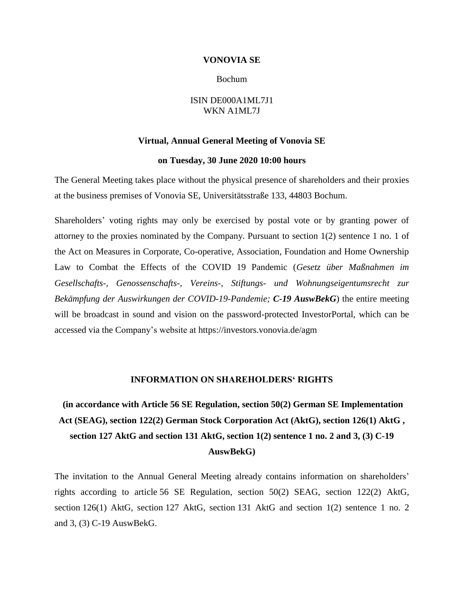#### **VONOVIA SE**

#### Bochum

### ISIN DE000A1ML7J1 WKN A1ML7J

#### **Virtual, Annual General Meeting of Vonovia SE**

#### **on Tuesday, 30 June 2020 10:00 hours**

The General Meeting takes place without the physical presence of shareholders and their proxies at the business premises of Vonovia SE, Universitätsstraße 133, 44803 Bochum.

Shareholders' voting rights may only be exercised by postal vote or by granting power of attorney to the proxies nominated by the Company. Pursuant to section 1(2) sentence 1 no. 1 of the Act on Measures in Corporate, Co-operative, Association, Foundation and Home Ownership Law to Combat the Effects of the COVID 19 Pandemic (*Gesetz über Maßnahmen im Gesellschafts-, Genossenschafts-, Vereins-, Stiftungs- und Wohnungseigentumsrecht zur Bekämpfung der Auswirkungen der COVID-19-Pandemie; C-19 AuswBekG*) the entire meeting will be broadcast in sound and vision on the password-protected InvestorPortal, which can be accessed via the Company's website at https://investors.vonovia.de/agm

#### **INFORMATION ON SHAREHOLDERS' RIGHTS**

**(in accordance with Article 56 SE Regulation, section 50(2) German SE Implementation Act (SEAG), section 122(2) German Stock Corporation Act (AktG), section 126(1) AktG , section 127 AktG and section 131 AktG, section 1(2) sentence 1 no. 2 and 3, (3) C-19 AuswBekG)**

The invitation to the Annual General Meeting already contains information on shareholders' rights according to article 56 SE Regulation, section 50(2) SEAG, section 122(2) AktG, section 126(1) AktG, section 127 AktG, section 131 AktG and section 1(2) sentence 1 no. 2 and 3, (3) C-19 AuswBekG.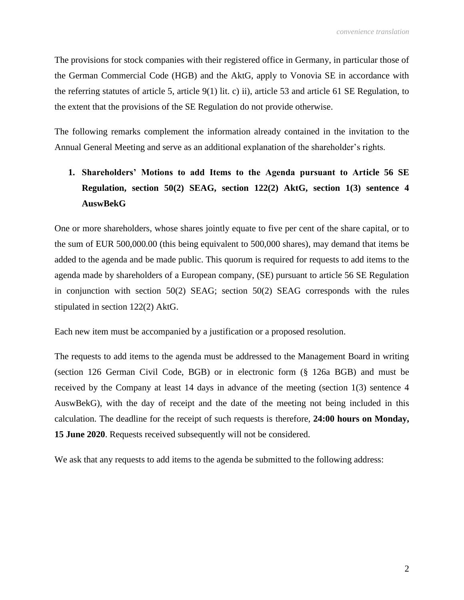The provisions for stock companies with their registered office in Germany, in particular those of the German Commercial Code (HGB) and the AktG, apply to Vonovia SE in accordance with the referring statutes of article 5, article 9(1) lit. c) ii), article 53 and article 61 SE Regulation, to the extent that the provisions of the SE Regulation do not provide otherwise.

The following remarks complement the information already contained in the invitation to the Annual General Meeting and serve as an additional explanation of the shareholder's rights.

# **1. Shareholders' Motions to add Items to the Agenda pursuant to Article 56 SE Regulation, section 50(2) SEAG, section 122(2) AktG, section 1(3) sentence 4 AuswBekG**

One or more shareholders, whose shares jointly equate to five per cent of the share capital, or to the sum of EUR 500,000.00 (this being equivalent to 500,000 shares), may demand that items be added to the agenda and be made public. This quorum is required for requests to add items to the agenda made by shareholders of a European company, (SE) pursuant to article 56 SE Regulation in conjunction with section 50(2) SEAG; section 50(2) SEAG corresponds with the rules stipulated in section 122(2) AktG.

Each new item must be accompanied by a justification or a proposed resolution.

The requests to add items to the agenda must be addressed to the Management Board in writing (section 126 German Civil Code, BGB) or in electronic form (§ 126a BGB) and must be received by the Company at least 14 days in advance of the meeting (section 1(3) sentence 4 AuswBekG), with the day of receipt and the date of the meeting not being included in this calculation. The deadline for the receipt of such requests is therefore, **24:00 hours on Monday, 15 June 2020**. Requests received subsequently will not be considered.

We ask that any requests to add items to the agenda be submitted to the following address: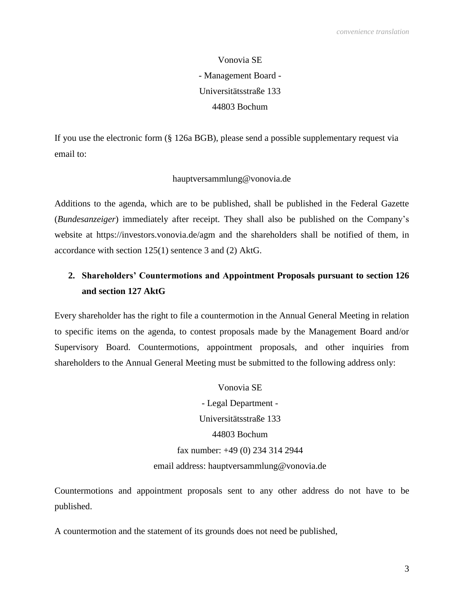Vonovia SE - Management Board - Universitätsstraße 133 44803 Bochum

If you use the electronic form (§ 126a BGB), please send a possible supplementary request via email to:

## hauptversammlung@vonovia.de

Additions to the agenda, which are to be published, shall be published in the Federal Gazette (*Bundesanzeiger*) immediately after receipt. They shall also be published on the Company's website at https://investors.vonovia.de/agm and the shareholders shall be notified of them, in accordance with section 125(1) sentence 3 and (2) AktG.

## **2. Shareholders' Countermotions and Appointment Proposals pursuant to section 126 and section 127 AktG**

Every shareholder has the right to file a countermotion in the Annual General Meeting in relation to specific items on the agenda, to contest proposals made by the Management Board and/or Supervisory Board. Countermotions, appointment proposals, and other inquiries from shareholders to the Annual General Meeting must be submitted to the following address only:

> Vonovia SE - Legal Department - Universitätsstraße 133 44803 Bochum fax number: +49 (0) 234 314 2944 email address: hauptversammlung@vonovia.de

Countermotions and appointment proposals sent to any other address do not have to be published.

A countermotion and the statement of its grounds does not need be published,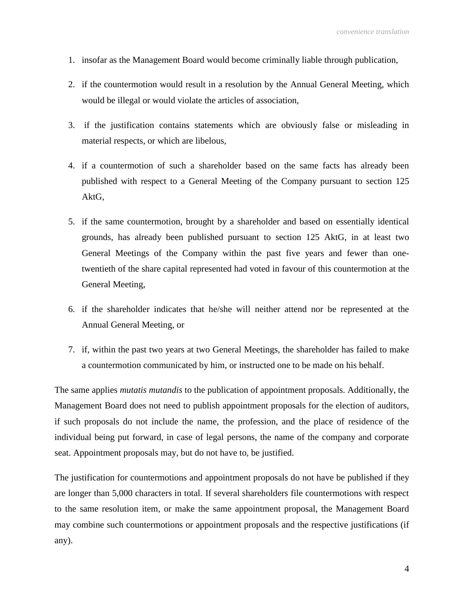- 1. insofar as the Management Board would become criminally liable through publication,
- 2. if the countermotion would result in a resolution by the Annual General Meeting, which would be illegal or would violate the articles of association,
- 3. if the justification contains statements which are obviously false or misleading in material respects, or which are libelous,
- 4. if a countermotion of such a shareholder based on the same facts has already been published with respect to a General Meeting of the Company pursuant to section 125 AktG,
- 5. if the same countermotion, brought by a shareholder and based on essentially identical grounds, has already been published pursuant to section 125 AktG, in at least two General Meetings of the Company within the past five years and fewer than onetwentieth of the share capital represented had voted in favour of this countermotion at the General Meeting,
- 6. if the shareholder indicates that he/she will neither attend nor be represented at the Annual General Meeting, or
- 7. if, within the past two years at two General Meetings, the shareholder has failed to make a countermotion communicated by him, or instructed one to be made on his behalf.

The same applies *mutatis mutandis* to the publication of appointment proposals. Additionally, the Management Board does not need to publish appointment proposals for the election of auditors, if such proposals do not include the name, the profession, and the place of residence of the individual being put forward, in case of legal persons, the name of the company and corporate seat. Appointment proposals may, but do not have to, be justified.

The justification for countermotions and appointment proposals do not have be published if they are longer than 5,000 characters in total. If several shareholders file countermotions with respect to the same resolution item, or make the same appointment proposal, the Management Board may combine such countermotions or appointment proposals and the respective justifications (if any).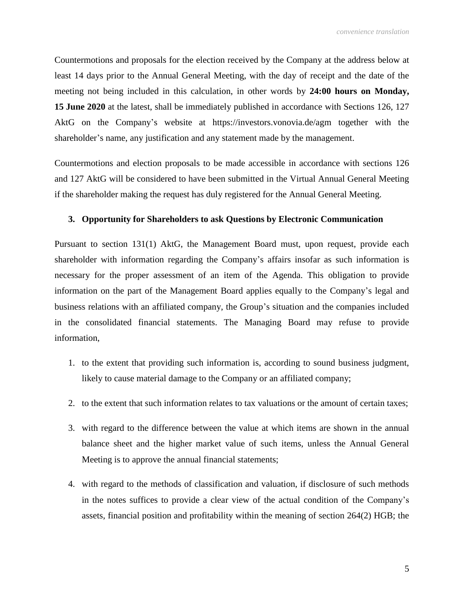Countermotions and proposals for the election received by the Company at the address below at least 14 days prior to the Annual General Meeting, with the day of receipt and the date of the meeting not being included in this calculation, in other words by **24:00 hours on Monday, 15 June 2020** at the latest, shall be immediately published in accordance with Sections 126, 127 AktG on the Company's website at https://investors.vonovia.de/agm together with the shareholder's name, any justification and any statement made by the management.

Countermotions and election proposals to be made accessible in accordance with sections 126 and 127 AktG will be considered to have been submitted in the Virtual Annual General Meeting if the shareholder making the request has duly registered for the Annual General Meeting.

## **3. Opportunity for Shareholders to ask Questions by Electronic Communication**

Pursuant to section 131(1) AktG, the Management Board must, upon request, provide each shareholder with information regarding the Company's affairs insofar as such information is necessary for the proper assessment of an item of the Agenda. This obligation to provide information on the part of the Management Board applies equally to the Company's legal and business relations with an affiliated company, the Group's situation and the companies included in the consolidated financial statements. The Managing Board may refuse to provide information,

- 1. to the extent that providing such information is, according to sound business judgment, likely to cause material damage to the Company or an affiliated company;
- 2. to the extent that such information relates to tax valuations or the amount of certain taxes;
- 3. with regard to the difference between the value at which items are shown in the annual balance sheet and the higher market value of such items, unless the Annual General Meeting is to approve the annual financial statements;
- 4. with regard to the methods of classification and valuation, if disclosure of such methods in the notes suffices to provide a clear view of the actual condition of the Company's assets, financial position and profitability within the meaning of section 264(2) HGB; the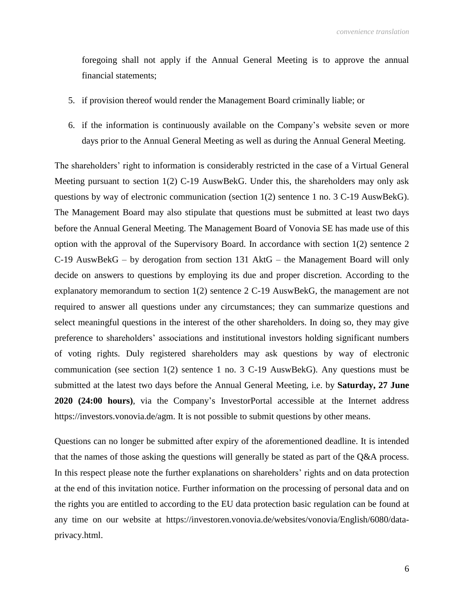foregoing shall not apply if the Annual General Meeting is to approve the annual financial statements;

- 5. if provision thereof would render the Management Board criminally liable; or
- 6. if the information is continuously available on the Company's website seven or more days prior to the Annual General Meeting as well as during the Annual General Meeting.

The shareholders' right to information is considerably restricted in the case of a Virtual General Meeting pursuant to section 1(2) C-19 AuswBekG. Under this, the shareholders may only ask questions by way of electronic communication (section 1(2) sentence 1 no. 3 C-19 AuswBekG). The Management Board may also stipulate that questions must be submitted at least two days before the Annual General Meeting. The Management Board of Vonovia SE has made use of this option with the approval of the Supervisory Board. In accordance with section 1(2) sentence 2 C-19 AuswBekG – by derogation from section 131 AktG – the Management Board will only decide on answers to questions by employing its due and proper discretion. According to the explanatory memorandum to section 1(2) sentence 2 C-19 AuswBekG, the management are not required to answer all questions under any circumstances; they can summarize questions and select meaningful questions in the interest of the other shareholders. In doing so, they may give preference to shareholders' associations and institutional investors holding significant numbers of voting rights. Duly registered shareholders may ask questions by way of electronic communication (see section 1(2) sentence 1 no. 3 C-19 AuswBekG). Any questions must be submitted at the latest two days before the Annual General Meeting, i.e. by **Saturday, 27 June 2020 (24:00 hours)**, via the Company's InvestorPortal accessible at the Internet address https://investors.vonovia.de/agm. It is not possible to submit questions by other means.

Questions can no longer be submitted after expiry of the aforementioned deadline. It is intended that the names of those asking the questions will generally be stated as part of the Q&A process. In this respect please note the further explanations on shareholders' rights and on data protection at the end of this invitation notice. Further information on the processing of personal data and on the rights you are entitled to according to the EU data protection basic regulation can be found at any time on our website at https://investoren.vonovia.de/websites/vonovia/English/6080/dataprivacy.html.